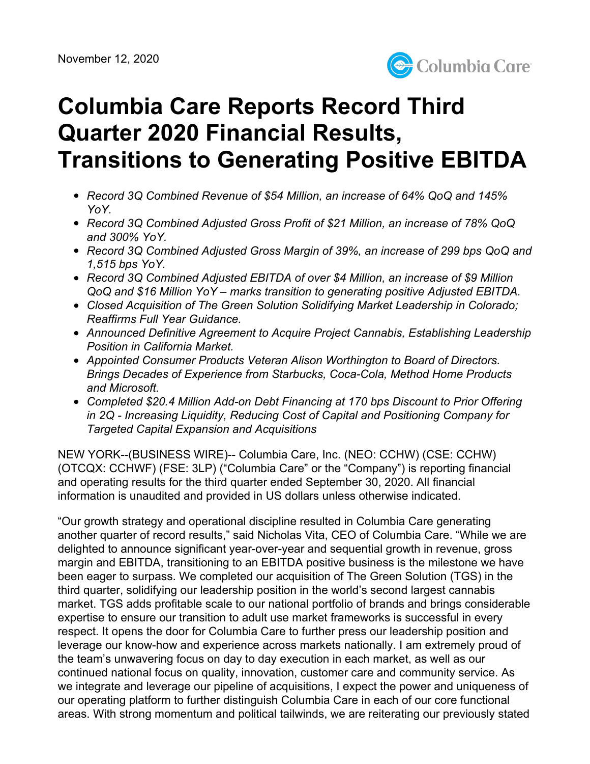

# **Columbia Care Reports Record Third Quarter 2020 Financial Results, Transitions to Generating Positive EBITDA**

- *Record 3Q Combined Revenue of \$54 Million, an increase of 64% QoQ and 145% YoY.*
- *Record 3Q Combined Adjusted Gross Profit of \$21 Million, an increase of 78% QoQ and 300% YoY.*
- *Record 3Q Combined Adjusted Gross Margin of 39%, an increase of 299 bps QoQ and 1,515 bps YoY.*
- *Record 3Q Combined Adjusted EBITDA of over \$4 Million, an increase of \$9 Million QoQ and \$16 Million YoY – marks transition to generating positive Adjusted EBITDA.*
- *Closed Acquisition of The Green Solution Solidifying Market Leadership in Colorado; Reaffirms Full Year Guidance.*
- *Announced Definitive Agreement to Acquire Project Cannabis, Establishing Leadership Position in California Market.*
- *Appointed Consumer Products Veteran Alison Worthington to Board of Directors. Brings Decades of Experience from Starbucks, Coca-Cola, Method Home Products and Microsoft.*
- *Completed \$20.4 Million Add-on Debt Financing at 170 bps Discount to Prior Offering in 2Q - Increasing Liquidity, Reducing Cost of Capital and Positioning Company for Targeted Capital Expansion and Acquisitions*

NEW YORK--(BUSINESS WIRE)-- Columbia Care, Inc. (NEO: CCHW) (CSE: CCHW) (OTCQX: CCHWF) (FSE: 3LP) ("Columbia Care" or the "Company") is reporting financial and operating results for the third quarter ended September 30, 2020. All financial information is unaudited and provided in US dollars unless otherwise indicated.

"Our growth strategy and operational discipline resulted in Columbia Care generating another quarter of record results," said Nicholas Vita, CEO of Columbia Care. "While we are delighted to announce significant year-over-year and sequential growth in revenue, gross margin and EBITDA, transitioning to an EBITDA positive business is the milestone we have been eager to surpass. We completed our acquisition of The Green Solution (TGS) in the third quarter, solidifying our leadership position in the world's second largest cannabis market. TGS adds profitable scale to our national portfolio of brands and brings considerable expertise to ensure our transition to adult use market frameworks is successful in every respect. It opens the door for Columbia Care to further press our leadership position and leverage our know-how and experience across markets nationally. I am extremely proud of the team's unwavering focus on day to day execution in each market, as well as our continued national focus on quality, innovation, customer care and community service. As we integrate and leverage our pipeline of acquisitions, I expect the power and uniqueness of our operating platform to further distinguish Columbia Care in each of our core functional areas. With strong momentum and political tailwinds, we are reiterating our previously stated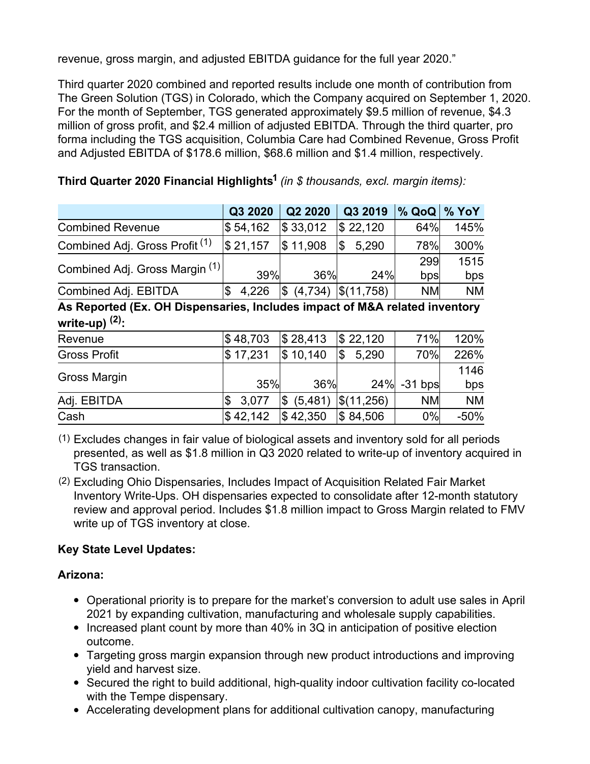revenue, gross margin, and adjusted EBITDA guidance for the full year 2020."

Third quarter 2020 combined and reported results include one month of contribution from The Green Solution (TGS) in Colorado, which the Company acquired on September 1, 2020. For the month of September, TGS generated approximately \$9.5 million of revenue, \$4.3 million of gross profit, and \$2.4 million of adjusted EBITDA. Through the third quarter, pro forma including the TGS acquisition, Columbia Care had Combined Revenue, Gross Profit and Adjusted EBITDA of \$178.6 million, \$68.6 million and \$1.4 million, respectively.

|                                           | Q3 2020  | Q2 2020  | Q3 2019              | $%$ QoQ $\%$ YoY |           |
|-------------------------------------------|----------|----------|----------------------|------------------|-----------|
| <b>Combined Revenue</b>                   | 54,162∥  | \$33,012 | $\frac{1}{2}$ 22,120 | 64%              | 145%      |
| Combined Adj. Gross Profit <sup>(1)</sup> | \$21,157 | \$11,908 | 5,290                | 78%              | 300%      |
|                                           |          |          |                      | 299              | 1515      |
| Combined Adj. Gross Margin <sup>(1)</sup> | 39%      | 36%      | 24%                  | bps              | bps       |
| Combined Adj. EBITDA                      | 4.226    | (4,734)  | $\sqrt{(11,758)}$    | <b>NM</b>        | <b>NM</b> |

**Third Quarter 2020 Financial Highlights 1** *(in \$ thousands, excl. margin items):*

**As Reported (Ex. OH Dispensaries, Includes impact of M&A related inventory write-up) (2) :**

| Revenue             | $\frac{1}{2}$ 48,703 | $\frac{1}{2}$ 28,413 | \$22,120           | 71%          | 120%      |
|---------------------|----------------------|----------------------|--------------------|--------------|-----------|
| <b>Gross Profit</b> | \$17,231             | \$10,140             | 5,290<br>\$        | 70%          | 226%      |
| Gross Margin        |                      |                      |                    |              | 1146      |
|                     | 35%                  | 36%                  |                    | 24% - 31 bps | bps       |
| Adj. EBITDA         | 3,077                | (5,481)              | $\vert \$(11,256)$ | <b>NM</b>    | <b>NM</b> |
| Cash                | $\frac{1}{2}$ 42,142 | $\frac{1}{2}$ 42,350 | $\$84,506$         | 0%           | $-50%$    |

(1) Excludes changes in fair value of biological assets and inventory sold for all periods presented, as well as \$1.8 million in Q3 2020 related to write-up of inventory acquired in TGS transaction.

(2) Excluding Ohio Dispensaries, Includes Impact of Acquisition Related Fair Market Inventory Write-Ups. OH dispensaries expected to consolidate after 12-month statutory review and approval period. Includes \$1.8 million impact to Gross Margin related to FMV write up of TGS inventory at close.

# **Key State Level Updates:**

# **Arizona:**

- Operational priority is to prepare for the market's conversion to adult use sales in April 2021 by expanding cultivation, manufacturing and wholesale supply capabilities.
- Increased plant count by more than 40% in 3Q in anticipation of positive election outcome.
- Targeting gross margin expansion through new product introductions and improving yield and harvest size.
- Secured the right to build additional, high-quality indoor cultivation facility co-located with the Tempe dispensary.
- Accelerating development plans for additional cultivation canopy, manufacturing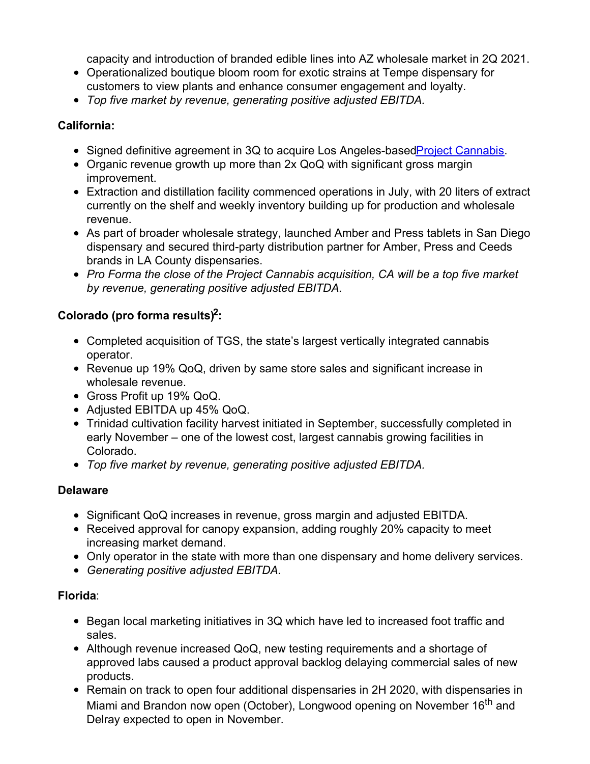capacity and introduction of branded edible lines into AZ wholesale market in 2Q 2021.

- Operationalized boutique bloom room for exotic strains at Tempe dispensary for customers to view plants and enhance consumer engagement and loyalty.
- *Top five market by revenue, generating positive adjusted EBITDA.*

## **California:**

- Signed definitive agreement in 3Q to acquire Los Angeles-based Project [Cannabis.](https://col-care.com/2020/09/08/columbia-care-signs-definitive-agreement-to-acquire-california-based-project-cannabis/)
- Organic revenue growth up more than 2x QoQ with significant gross margin improvement.
- Extraction and distillation facility commenced operations in July, with 20 liters of extract currently on the shelf and weekly inventory building up for production and wholesale revenue.
- As part of broader wholesale strategy, launched Amber and Press tablets in San Diego dispensary and secured third-party distribution partner for Amber, Press and Ceeds brands in LA County dispensaries.
- *Pro Forma the close of the Project Cannabis acquisition, CA will be a top five market by revenue, generating positive adjusted EBITDA.*

# **Colorado (pro forma results) 2 :**

- Completed acquisition of TGS, the state's largest vertically integrated cannabis operator.
- Revenue up 19% QoQ, driven by same store sales and significant increase in wholesale revenue.
- Gross Profit up 19% QoQ.
- Adjusted EBITDA up 45% QoQ.
- Trinidad cultivation facility harvest initiated in September, successfully completed in early November – one of the lowest cost, largest cannabis growing facilities in Colorado.
- *Top five market by revenue, generating positive adjusted EBITDA.*

# **Delaware**

- Significant QoQ increases in revenue, gross margin and adjusted EBITDA.
- Received approval for canopy expansion, adding roughly 20% capacity to meet increasing market demand.
- Only operator in the state with more than one dispensary and home delivery services.
- *Generating positive adjusted EBITDA.*

# **Florida**:

- Began local marketing initiatives in 3Q which have led to increased foot traffic and sales.
- Although revenue increased QoQ, new testing requirements and a shortage of approved labs caused a product approval backlog delaying commercial sales of new products.
- Remain on track to open four additional dispensaries in 2H 2020, with dispensaries in Miami and Brandon now open (October), Longwood opening on November 16<sup>th</sup> and Delray expected to open in November.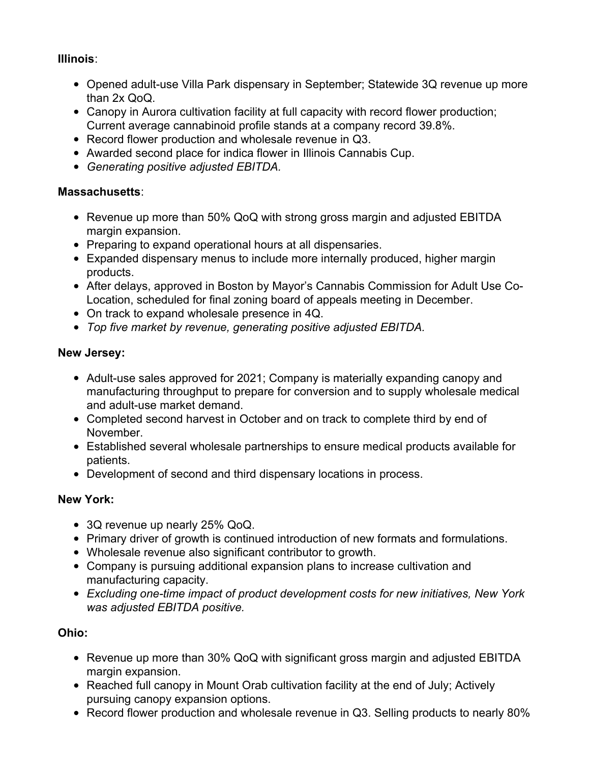## **Illinois**:

- Opened adult-use Villa Park dispensary in September; Statewide 3Q revenue up more than 2x QoQ.
- Canopy in Aurora cultivation facility at full capacity with record flower production; Current average cannabinoid profile stands at a company record 39.8%.
- Record flower production and wholesale revenue in Q3.
- Awarded second place for indica flower in Illinois Cannabis Cup.
- *Generating positive adjusted EBITDA.*

### **Massachusetts**:

- Revenue up more than 50% QoQ with strong gross margin and adjusted EBITDA margin expansion.
- Preparing to expand operational hours at all dispensaries.
- Expanded dispensary menus to include more internally produced, higher margin products.
- After delays, approved in Boston by Mayor's Cannabis Commission for Adult Use Co-Location, scheduled for final zoning board of appeals meeting in December.
- On track to expand wholesale presence in 4Q.
- *Top five market by revenue, generating positive adjusted EBITDA.*

## **New Jersey:**

- Adult-use sales approved for 2021; Company is materially expanding canopy and manufacturing throughput to prepare for conversion and to supply wholesale medical and adult-use market demand.
- Completed second harvest in October and on track to complete third by end of November.
- Established several wholesale partnerships to ensure medical products available for patients.
- Development of second and third dispensary locations in process.

## **New York:**

- 3Q revenue up nearly 25% QoQ.
- Primary driver of growth is continued introduction of new formats and formulations.
- Wholesale revenue also significant contributor to growth.
- Company is pursuing additional expansion plans to increase cultivation and manufacturing capacity.
- *Excluding one-time impact of product development costs for new initiatives, New York was adjusted EBITDA positive.*

# **Ohio:**

- Revenue up more than 30% QoQ with significant gross margin and adjusted EBITDA margin expansion.
- Reached full canopy in Mount Orab cultivation facility at the end of July; Actively pursuing canopy expansion options.
- Record flower production and wholesale revenue in Q3. Selling products to nearly 80%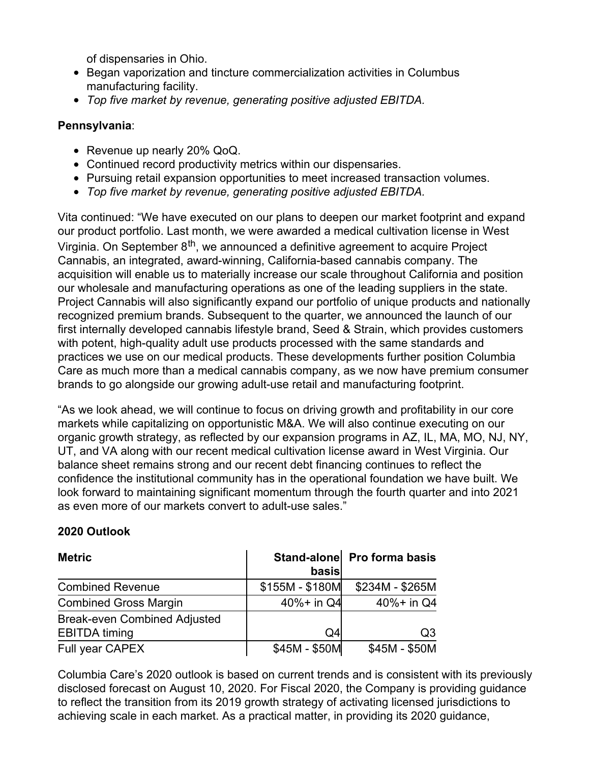of dispensaries in Ohio.

- Began vaporization and tincture commercialization activities in Columbus manufacturing facility.
- *Top five market by revenue, generating positive adjusted EBITDA.*

## **Pennsylvania**:

- Revenue up nearly 20% QoQ.
- Continued record productivity metrics within our dispensaries.
- Pursuing retail expansion opportunities to meet increased transaction volumes.
- *Top five market by revenue, generating positive adjusted EBITDA.*

Vita continued: "We have executed on our plans to deepen our market footprint and expand our product portfolio. Last month, we were awarded a medical cultivation license in West Virginia. On September 8<sup>th</sup>, we announced a definitive agreement to acquire Project Cannabis, an integrated, award-winning, California-based cannabis company. The acquisition will enable us to materially increase our scale throughout California and position our wholesale and manufacturing operations as one of the leading suppliers in the state. Project Cannabis will also significantly expand our portfolio of unique products and nationally recognized premium brands. Subsequent to the quarter, we announced the launch of our first internally developed cannabis lifestyle brand, Seed & Strain, which provides customers with potent, high-quality adult use products processed with the same standards and practices we use on our medical products. These developments further position Columbia Care as much more than a medical cannabis company, as we now have premium consumer brands to go alongside our growing adult-use retail and manufacturing footprint.

"As we look ahead, we will continue to focus on driving growth and profitability in our core markets while capitalizing on opportunistic M&A. We will also continue executing on our organic growth strategy, as reflected by our expansion programs in AZ, IL, MA, MO, NJ, NY, UT, and VA along with our recent medical cultivation license award in West Virginia. Our balance sheet remains strong and our recent debt financing continues to reflect the confidence the institutional community has in the operational foundation we have built. We look forward to maintaining significant momentum through the fourth quarter and into 2021 as even more of our markets convert to adult-use sales."

# **2020 Outlook**

| <b>Metric</b>                       | Stand-alone Pro forma basis<br>basis |                 |  |  |
|-------------------------------------|--------------------------------------|-----------------|--|--|
| <b>Combined Revenue</b>             | $$155M - $180M$                      | \$234M - \$265M |  |  |
| <b>Combined Gross Margin</b>        | $40\% + in Q4$                       | $40\% + in Q4$  |  |  |
| <b>Break-even Combined Adjusted</b> |                                      |                 |  |  |
| <b>EBITDA</b> timing                | Q4                                   | Q3              |  |  |
| Full year CAPEX                     | \$45M - \$50M                        | $$45M - $50M$   |  |  |

Columbia Care's 2020 outlook is based on current trends and is consistent with its previously disclosed forecast on August 10, 2020. For Fiscal 2020, the Company is providing guidance to reflect the transition from its 2019 growth strategy of activating licensed jurisdictions to achieving scale in each market. As a practical matter, in providing its 2020 guidance,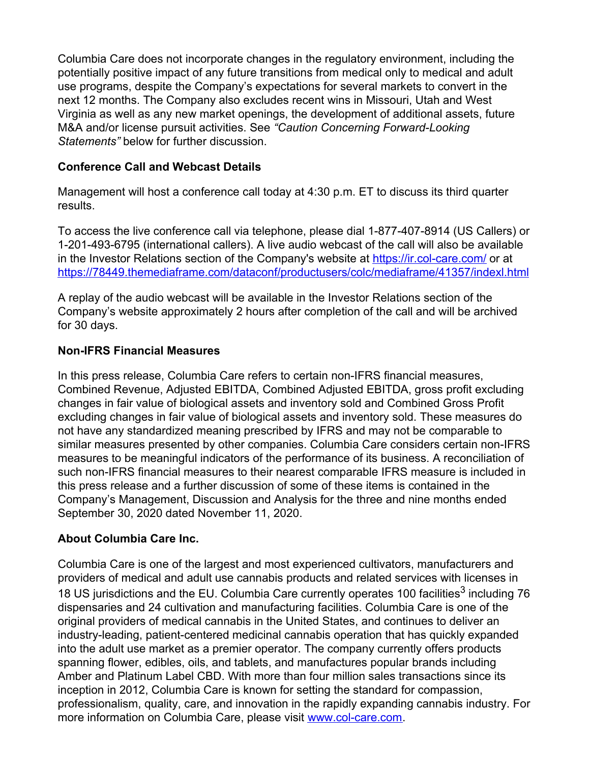Columbia Care does not incorporate changes in the regulatory environment, including the potentially positive impact of any future transitions from medical only to medical and adult use programs, despite the Company's expectations for several markets to convert in the next 12 months. The Company also excludes recent wins in Missouri, Utah and West Virginia as well as any new market openings, the development of additional assets, future M&A and/or license pursuit activities. See *"Caution Concerning Forward-Looking Statements"* below for further discussion.

#### **Conference Call and Webcast Details**

Management will host a conference call today at 4:30 p.m. ET to discuss its third quarter results.

To access the live conference call via telephone, please dial 1-877-407-8914 (US Callers) or 1-201-493-6795 (international callers). A live audio webcast of the call will also be available in the Investor Relations section of the Company's website at <https://ir.col-care.com/> or at <https://78449.themediaframe.com/dataconf/productusers/colc/mediaframe/41357/indexl.html>

A replay of the audio webcast will be available in the Investor Relations section of the Company's website approximately 2 hours after completion of the call and will be archived for 30 days.

#### **Non-IFRS Financial Measures**

In this press release, Columbia Care refers to certain non-IFRS financial measures, Combined Revenue, Adjusted EBITDA, Combined Adjusted EBITDA, gross profit excluding changes in fair value of biological assets and inventory sold and Combined Gross Profit excluding changes in fair value of biological assets and inventory sold. These measures do not have any standardized meaning prescribed by IFRS and may not be comparable to similar measures presented by other companies. Columbia Care considers certain non-IFRS measures to be meaningful indicators of the performance of its business. A reconciliation of such non-IFRS financial measures to their nearest comparable IFRS measure is included in this press release and a further discussion of some of these items is contained in the Company's Management, Discussion and Analysis for the three and nine months ended September 30, 2020 dated November 11, 2020.

## **About Columbia Care Inc.**

Columbia Care is one of the largest and most experienced cultivators, manufacturers and providers of medical and adult use cannabis products and related services with licenses in 18 US jurisdictions and the EU. Columbia Care currently operates 100 facilities<sup>3</sup> including 76 dispensaries and 24 cultivation and manufacturing facilities. Columbia Care is one of the original providers of medical cannabis in the United States, and continues to deliver an industry-leading, patient-centered medicinal cannabis operation that has quickly expanded into the adult use market as a premier operator. The company currently offers products spanning flower, edibles, oils, and tablets, and manufactures popular brands including Amber and Platinum Label CBD. With more than four million sales transactions since its inception in 2012, Columbia Care is known for setting the standard for compassion, professionalism, quality, care, and innovation in the rapidly expanding cannabis industry. For more information on Columbia Care, please visit [www.col-care.com.](http://www.col-care.com)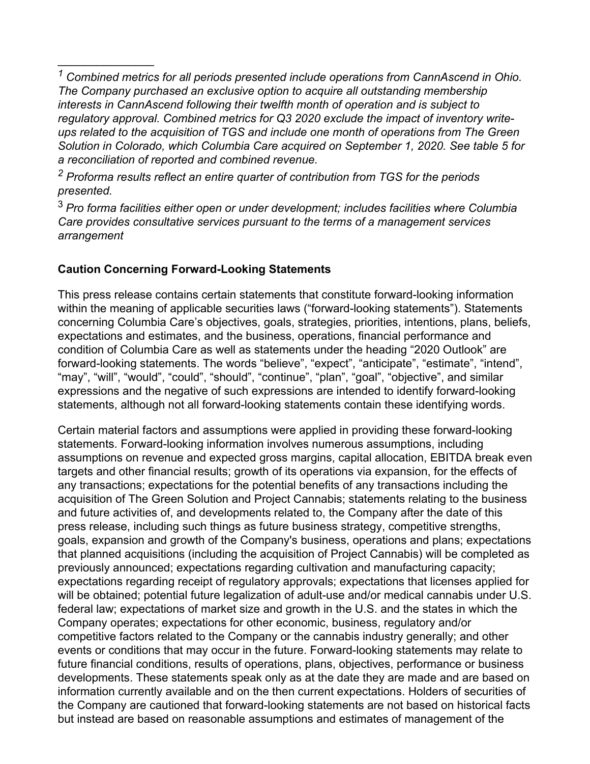*<sup>1</sup> Combined metrics for all periods presented include operations from CannAscend in Ohio. The Company purchased an exclusive option to acquire all outstanding membership interests in CannAscend following their twelfth month of operation and is subject to regulatory approval. Combined metrics for Q3 2020 exclude the impact of inventory writeups related to the acquisition of TGS and include one month of operations from The Green Solution in Colorado, which Columbia Care acquired on September 1, 2020. See table 5 for a reconciliation of reported and combined revenue.*

*<sup>2</sup> Proforma results reflect an entire quarter of contribution from TGS for the periods presented.*

<sup>3</sup> *Pro forma facilities either open or under development; includes facilities where Columbia Care provides consultative services pursuant to the terms of a management services arrangement*

## **Caution Concerning Forward-Looking Statements**

 $\frac{1}{2}$  ,  $\frac{1}{2}$  ,  $\frac{1}{2}$  ,  $\frac{1}{2}$  ,  $\frac{1}{2}$  ,  $\frac{1}{2}$  ,  $\frac{1}{2}$ 

This press release contains certain statements that constitute forward-looking information within the meaning of applicable securities laws ("forward-looking statements"). Statements concerning Columbia Care's objectives, goals, strategies, priorities, intentions, plans, beliefs, expectations and estimates, and the business, operations, financial performance and condition of Columbia Care as well as statements under the heading "2020 Outlook" are forward-looking statements. The words "believe", "expect", "anticipate", "estimate", "intend", "may", "will", "would", "could", "should", "continue", "plan", "goal", "objective", and similar expressions and the negative of such expressions are intended to identify forward-looking statements, although not all forward-looking statements contain these identifying words.

Certain material factors and assumptions were applied in providing these forward-looking statements. Forward-looking information involves numerous assumptions, including assumptions on revenue and expected gross margins, capital allocation, EBITDA break even targets and other financial results; growth of its operations via expansion, for the effects of any transactions; expectations for the potential benefits of any transactions including the acquisition of The Green Solution and Project Cannabis; statements relating to the business and future activities of, and developments related to, the Company after the date of this press release, including such things as future business strategy, competitive strengths, goals, expansion and growth of the Company's business, operations and plans; expectations that planned acquisitions (including the acquisition of Project Cannabis) will be completed as previously announced; expectations regarding cultivation and manufacturing capacity; expectations regarding receipt of regulatory approvals; expectations that licenses applied for will be obtained; potential future legalization of adult-use and/or medical cannabis under U.S. federal law; expectations of market size and growth in the U.S. and the states in which the Company operates; expectations for other economic, business, regulatory and/or competitive factors related to the Company or the cannabis industry generally; and other events or conditions that may occur in the future. Forward-looking statements may relate to future financial conditions, results of operations, plans, objectives, performance or business developments. These statements speak only as at the date they are made and are based on information currently available and on the then current expectations. Holders of securities of the Company are cautioned that forward-looking statements are not based on historical facts but instead are based on reasonable assumptions and estimates of management of the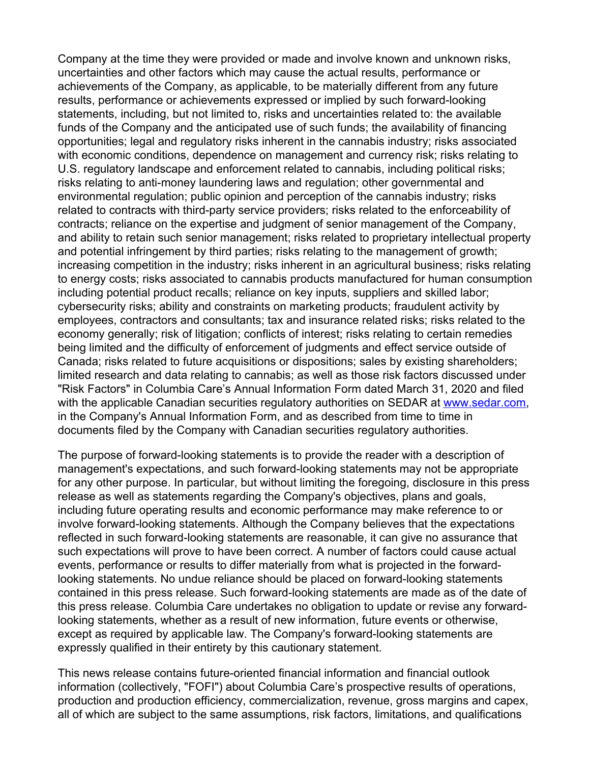Company at the time they were provided or made and involve known and unknown risks, uncertainties and other factors which may cause the actual results, performance or achievements of the Company, as applicable, to be materially different from any future results, performance or achievements expressed or implied by such forward-looking statements, including, but not limited to, risks and uncertainties related to: the available funds of the Company and the anticipated use of such funds; the availability of financing opportunities; legal and regulatory risks inherent in the cannabis industry; risks associated with economic conditions, dependence on management and currency risk; risks relating to U.S. regulatory landscape and enforcement related to cannabis, including political risks; risks relating to anti-money laundering laws and regulation; other governmental and environmental regulation; public opinion and perception of the cannabis industry; risks related to contracts with third-party service providers; risks related to the enforceability of contracts; reliance on the expertise and judgment of senior management of the Company, and ability to retain such senior management; risks related to proprietary intellectual property and potential infringement by third parties; risks relating to the management of growth; increasing competition in the industry; risks inherent in an agricultural business; risks relating to energy costs; risks associated to cannabis products manufactured for human consumption including potential product recalls; reliance on key inputs, suppliers and skilled labor; cybersecurity risks; ability and constraints on marketing products; fraudulent activity by employees, contractors and consultants; tax and insurance related risks; risks related to the economy generally; risk of litigation; conflicts of interest; risks relating to certain remedies being limited and the difficulty of enforcement of judgments and effect service outside of Canada; risks related to future acquisitions or dispositions; sales by existing shareholders; limited research and data relating to cannabis; as well as those risk factors discussed under "Risk Factors" in Columbia Care's Annual Information Form dated March 31, 2020 and filed with the applicable Canadian securities regulatory authorities on SEDAR at [www.sedar.com](http://www.sedar.com), in the Company's Annual Information Form, and as described from time to time in documents filed by the Company with Canadian securities regulatory authorities.

The purpose of forward-looking statements is to provide the reader with a description of management's expectations, and such forward-looking statements may not be appropriate for any other purpose. In particular, but without limiting the foregoing, disclosure in this press release as well as statements regarding the Company's objectives, plans and goals, including future operating results and economic performance may make reference to or involve forward-looking statements. Although the Company believes that the expectations reflected in such forward-looking statements are reasonable, it can give no assurance that such expectations will prove to have been correct. A number of factors could cause actual events, performance or results to differ materially from what is projected in the forwardlooking statements. No undue reliance should be placed on forward-looking statements contained in this press release. Such forward-looking statements are made as of the date of this press release. Columbia Care undertakes no obligation to update or revise any forwardlooking statements, whether as a result of new information, future events or otherwise, except as required by applicable law. The Company's forward-looking statements are expressly qualified in their entirety by this cautionary statement.

This news release contains future-oriented financial information and financial outlook information (collectively, "FOFI") about Columbia Care's prospective results of operations, production and production efficiency, commercialization, revenue, gross margins and capex, all of which are subject to the same assumptions, risk factors, limitations, and qualifications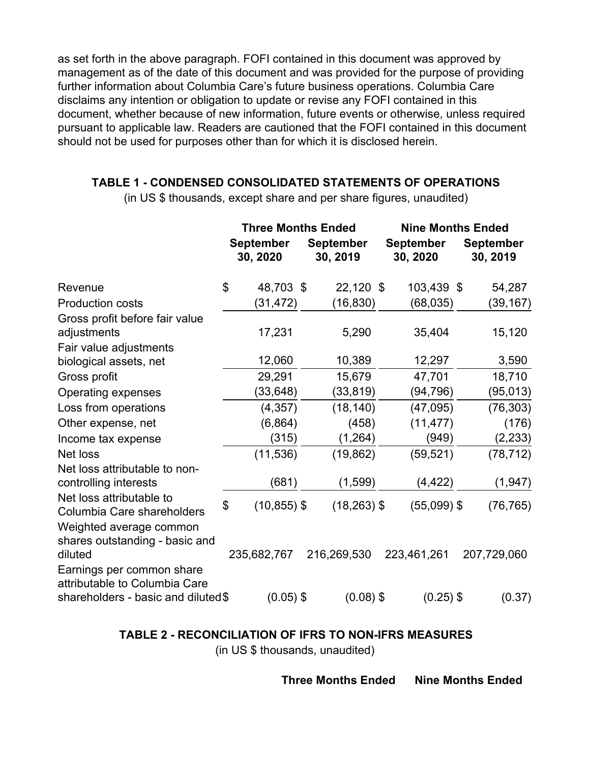as set forth in the above paragraph. FOFI contained in this document was approved by management as of the date of this document and was provided for the purpose of providing further information about Columbia Care's future business operations. Columbia Care disclaims any intention or obligation to update or revise any FOFI contained in this document, whether because of new information, future events or otherwise, unless required pursuant to applicable law. Readers are cautioned that the FOFI contained in this document should not be used for purposes other than for which it is disclosed herein.

## **TABLE 1 - CONDENSED CONSOLIDATED STATEMENTS OF OPERATIONS**

|                                                                                                  | <b>Three Months Ended</b>                                    |                | <b>Nine Months Ended</b>     |                              |  |  |
|--------------------------------------------------------------------------------------------------|--------------------------------------------------------------|----------------|------------------------------|------------------------------|--|--|
|                                                                                                  | <b>September</b><br><b>September</b><br>30, 2019<br>30, 2020 |                | <b>September</b><br>30, 2020 | <b>September</b><br>30, 2019 |  |  |
| Revenue                                                                                          | \$<br>48,703 \$                                              | 22,120 \$      | 103,439 \$                   | 54,287                       |  |  |
| <b>Production costs</b>                                                                          | (31, 472)                                                    | (16, 830)      | (68, 035)                    | (39, 167)                    |  |  |
| Gross profit before fair value<br>adjustments                                                    | 17,231                                                       | 5,290          | 35,404                       | 15,120                       |  |  |
| Fair value adjustments<br>biological assets, net                                                 | 12,060                                                       | 10,389         | 12,297                       | 3,590                        |  |  |
| Gross profit                                                                                     | 29,291                                                       | 15,679         | 47,701                       | 18,710                       |  |  |
| Operating expenses                                                                               | (33, 648)                                                    | (33, 819)      | (94, 796)                    | (95, 013)                    |  |  |
| Loss from operations                                                                             | (4, 357)                                                     | (18, 140)      | (47,095)                     | (76, 303)                    |  |  |
| Other expense, net                                                                               | (6, 864)                                                     | (458)          | (11, 477)                    | (176)                        |  |  |
| Income tax expense                                                                               | (315)                                                        | (1, 264)       | (949)                        | (2, 233)                     |  |  |
| Net loss                                                                                         | (11, 536)                                                    | (19, 862)      | (59, 521)                    | (78, 712)                    |  |  |
| Net loss attributable to non-<br>controlling interests                                           | (681)                                                        | (1, 599)       | (4, 422)                     | (1, 947)                     |  |  |
| Net loss attributable to<br>Columbia Care shareholders                                           | \$<br>$(10, 855)$ \$                                         | $(18, 263)$ \$ | $(55,099)$ \$                | (76, 765)                    |  |  |
| Weighted average common<br>shares outstanding - basic and<br>diluted                             | 235,682,767                                                  | 216,269,530    | 223,461,261                  | 207,729,060                  |  |  |
| Earnings per common share<br>attributable to Columbia Care<br>shareholders - basic and diluted\$ | $(0.05)$ \$                                                  | $(0.08)$ \$    | $(0.25)$ \$                  | (0.37)                       |  |  |

(in US \$ thousands, except share and per share figures, unaudited)

## **TABLE 2 - RECONCILIATION OF IFRS TO NON-IFRS MEASURES**

(in US \$ thousands, unaudited)

**Three Months Ended Nine Months Ended**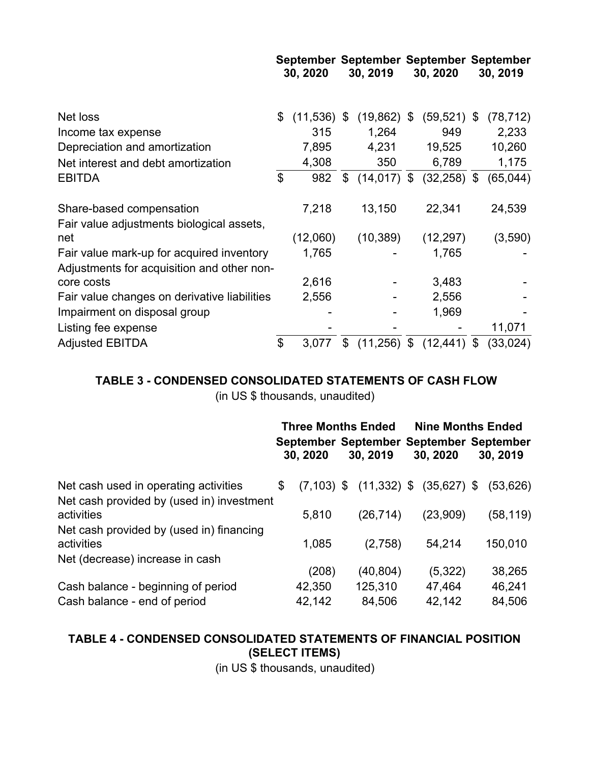|                                                                                         |                           | 30, 2020      | September September September September<br>30, 2019 |                | 30, 2020       | 30, 2019  |
|-----------------------------------------------------------------------------------------|---------------------------|---------------|-----------------------------------------------------|----------------|----------------|-----------|
| Net loss                                                                                | \$                        | $(11,536)$ \$ | $(19,862)$ \$                                       |                | $(59, 521)$ \$ | (78, 712) |
| Income tax expense                                                                      |                           | 315           | 1,264                                               |                | 949            | 2,233     |
| Depreciation and amortization                                                           |                           | 7,895         | 4,231                                               |                | 19,525         | 10,260    |
| Net interest and debt amortization                                                      |                           | 4,308         | 350                                                 |                | 6,789          | 1,175     |
| <b>EBITDA</b>                                                                           | $\boldsymbol{\mathsf{S}}$ | 982           | \$<br>$(14, 017)$ \$                                |                | $(32,258)$ \$  | (65,044)  |
| Share-based compensation                                                                |                           | 7,218         | 13,150                                              |                | 22,341         | 24,539    |
| Fair value adjustments biological assets,<br>net                                        |                           | (12,060)      | (10, 389)                                           |                | (12, 297)      | (3,590)   |
| Fair value mark-up for acquired inventory<br>Adjustments for acquisition and other non- |                           | 1,765         |                                                     |                | 1,765          |           |
| core costs                                                                              |                           | 2,616         |                                                     |                | 3,483          |           |
| Fair value changes on derivative liabilities                                            |                           | 2,556         |                                                     |                | 2,556          |           |
| Impairment on disposal group                                                            |                           |               |                                                     |                | 1,969          |           |
| Listing fee expense                                                                     |                           |               |                                                     |                |                | 11,071    |
| <b>Adjusted EBITDA</b>                                                                  | \$                        | 3,077         | \$<br>(11, 256)                                     | $\mathfrak{S}$ | $(12, 441)$ \$ | (33,024)  |

#### **TABLE 3 - CONDENSED CONSOLIDATED STATEMENTS OF CASH FLOW**

(in US \$ thousands, unaudited)

|                                                                                    | <b>Three Months Ended</b><br>30, 2020 | September September September September<br>30, 2019 | <b>Nine Months Ended</b><br>30, 2020 | 30, 2019  |
|------------------------------------------------------------------------------------|---------------------------------------|-----------------------------------------------------|--------------------------------------|-----------|
| Net cash used in operating activities<br>Net cash provided by (used in) investment | \$                                    | $(7,103)$ \$ $(11,332)$ \$ $(35,627)$ \$            |                                      | (53, 626) |
| activities                                                                         | 5,810                                 | (26, 714)                                           | (23,909)                             | (58, 119) |
| Net cash provided by (used in) financing<br>activities                             | 1,085                                 | (2,758)                                             | 54,214                               | 150,010   |
| Net (decrease) increase in cash                                                    | (208)                                 | (40, 804)                                           | (5,322)                              | 38,265    |
| Cash balance - beginning of period                                                 | 42,350                                | 125,310                                             | 47,464                               | 46,241    |
| Cash balance - end of period                                                       | 42,142                                | 84,506                                              | 42,142                               | 84,506    |

## **TABLE 4 - CONDENSED CONSOLIDATED STATEMENTS OF FINANCIAL POSITION (SELECT ITEMS)**

(in US \$ thousands, unaudited)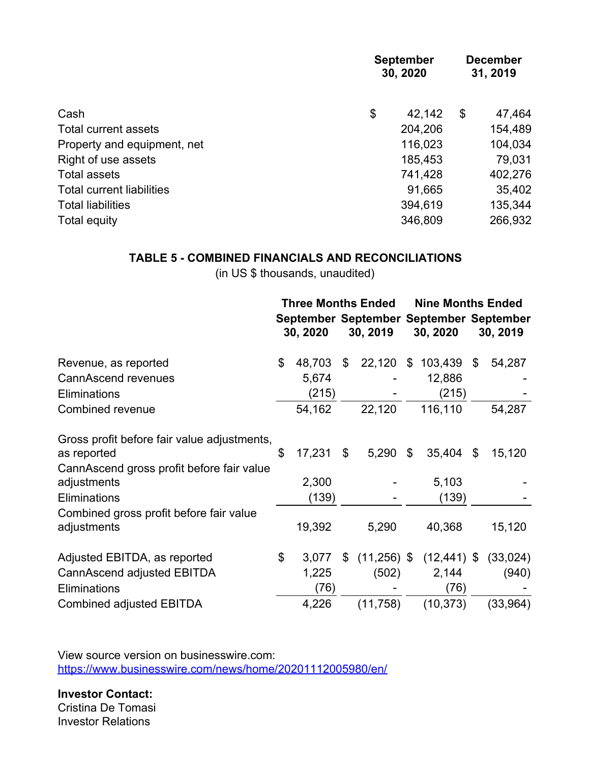|                                  | <b>September</b><br>30, 2020 | <b>December</b><br>31, 2019 |         |  |  |
|----------------------------------|------------------------------|-----------------------------|---------|--|--|
| Cash                             | \$<br>42,142                 | \$                          | 47,464  |  |  |
| Total current assets             | 204,206                      |                             | 154,489 |  |  |
| Property and equipment, net      | 116,023                      |                             | 104,034 |  |  |
| Right of use assets              | 185,453                      |                             | 79,031  |  |  |
| <b>Total assets</b>              | 741,428                      |                             | 402,276 |  |  |
| <b>Total current liabilities</b> | 91,665                       |                             | 35,402  |  |  |
| <b>Total liabilities</b>         | 394,619                      |                             | 135,344 |  |  |
| Total equity                     | 346,809                      |                             | 266,932 |  |  |

#### **TABLE 5 - COMBINED FINANCIALS AND RECONCILIATIONS**

(in US \$ thousands, unaudited)

|                                                                                                         | <b>Three Months Ended</b> |                          |    | <b>Nine Months Ended</b> |    |                                                     |    |           |
|---------------------------------------------------------------------------------------------------------|---------------------------|--------------------------|----|--------------------------|----|-----------------------------------------------------|----|-----------|
|                                                                                                         |                           | 30, 2020                 |    | 30, 2019                 |    | September September September September<br>30, 2020 |    | 30, 2019  |
| Revenue, as reported<br>CannAscend revenues<br><b>Eliminations</b>                                      | \$                        | 48,703<br>5,674<br>(215) | \$ | $22,120$ \$              |    | 103,439<br>12,886<br>(215)                          | \$ | 54,287    |
| <b>Combined revenue</b>                                                                                 |                           | 54,162                   |    | 22,120                   |    | 116,110                                             |    | 54,287    |
| Gross profit before fair value adjustments,<br>as reported<br>CannAscend gross profit before fair value | \$                        | 17,231                   | \$ | 5,290                    | \$ | 35,404                                              | \$ | 15,120    |
| adjustments                                                                                             |                           | 2,300                    |    |                          |    | 5,103                                               |    |           |
| Eliminations                                                                                            |                           | (139)                    |    |                          |    | (139)                                               |    |           |
| Combined gross profit before fair value<br>adjustments                                                  |                           | 19,392                   |    | 5,290                    |    | 40,368                                              |    | 15,120    |
| Adjusted EBITDA, as reported                                                                            | \$                        | 3,077                    | \$ | $(11,256)$ \$            |    | $(12, 441)$ \$                                      |    | (33,024)  |
| CannAscend adjusted EBITDA                                                                              |                           | 1,225                    |    | (502)                    |    | 2,144                                               |    | (940)     |
| Eliminations                                                                                            |                           | (76)                     |    |                          |    | (76)                                                |    |           |
| <b>Combined adjusted EBITDA</b>                                                                         |                           | 4,226                    |    | (11, 758)                |    | (10, 373)                                           |    | (33, 964) |

View source version on businesswire.com: <https://www.businesswire.com/news/home/20201112005980/en/>

**Investor Contact:** Cristina De Tomasi Investor Relations